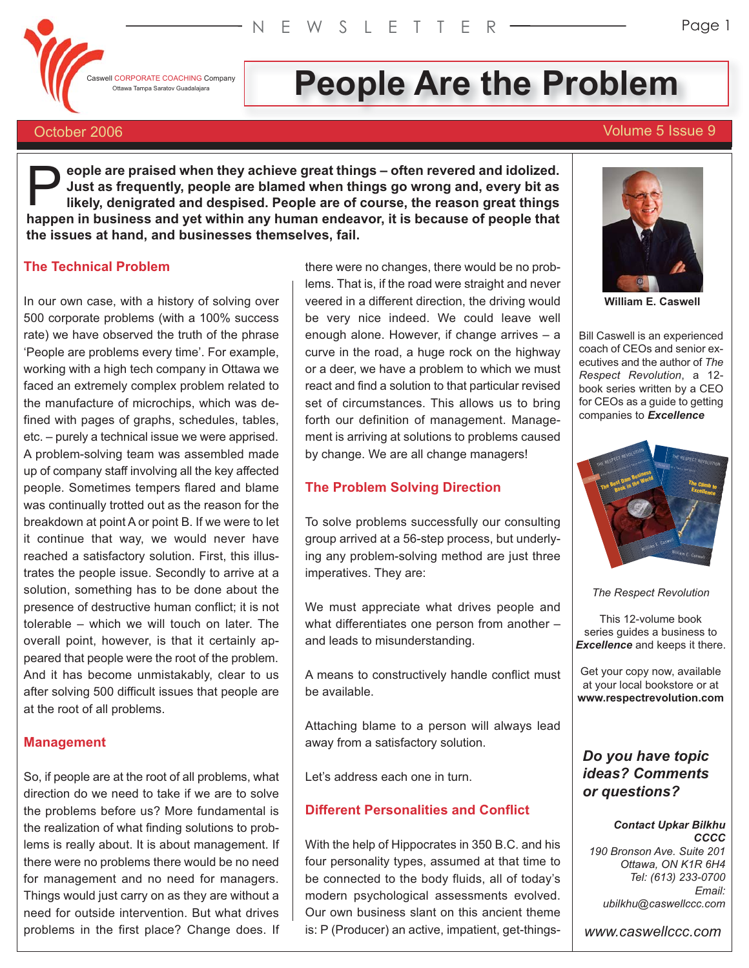Caswell CORPORATE COACHING Company

# OTERPORATE COACHING Company **People Are the Problem**

# October 2006 Volume 5 Issue 9

**eople are praised when they achieve great things – often revered and idolized. Just as frequently, people are blamed when things go wrong and, every bit as likely, denigrated and despised. People are of course, the reason great things happen in business and yet within any human endeavor, it is because of people that**<br> **happen in business and yet within any human endeavor, it is because of people that the issues at hand, and businesses themselves, fail.**

# **The Technical Problem**

In our own case, with a history of solving over 500 corporate problems (with a 100% success rate) we have observed the truth of the phrase 'People are problems every time'. For example, working with a high tech company in Ottawa we faced an extremely complex problem related to the manufacture of microchips, which was defined with pages of graphs, schedules, tables, etc. – purely a technical issue we were apprised. A problem-solving team was assembled made up of company staff involving all the key affected people. Sometimes tempers flared and blame was continually trotted out as the reason for the breakdown at point A or point B. If we were to let it continue that way, we would never have reached a satisfactory solution. First, this illustrates the people issue. Secondly to arrive at a solution, something has to be done about the presence of destructive human conflict; it is not tolerable – which we will touch on later. The overall point, however, is that it certainly appeared that people were the root of the problem. And it has become unmistakably, clear to us after solving 500 difficult issues that people are at the root of all problems.

#### **Management**

So, if people are at the root of all problems, what direction do we need to take if we are to solve the problems before us? More fundamental is the realization of what finding solutions to problems is really about. It is about management. If there were no problems there would be no need for management and no need for managers. Things would just carry on as they are without a need for outside intervention. But what drives problems in the first place? Change does. If there were no changes, there would be no problems. That is, if the road were straight and never veered in a different direction, the driving would be very nice indeed. We could leave well enough alone. However, if change arrives – a curve in the road, a huge rock on the highway or a deer, we have a problem to which we must react and find a solution to that particular revised set of circumstances. This allows us to bring forth our definition of management. Management is arriving at solutions to problems caused by change. We are all change managers!

# **The Problem Solving Direction**

To solve problems successfully our consulting group arrived at a 56-step process, but underlying any problem-solving method are just three imperatives. They are:

We must appreciate what drives people and what differentiates one person from another – and leads to misunderstanding.

A means to constructively handle conflict must be available.

Attaching blame to a person will always lead away from a satisfactory solution.

Let's address each one in turn.

# **Different Personalities and Conflict**

With the help of Hippocrates in 350 B.C. and his four personality types, assumed at that time to be connected to the body fluids, all of today's modern psychological assessments evolved. Our own business slant on this ancient theme is: P (Producer) an active, impatient, get-things-



**William E. Caswell**

Bill Caswell is an experienced coach of CEOs and senior executives and the author of *The Respect Revolution*, a 12 book series written by a CEO for CEOs as a guide to getting companies to *Excellence*



*The Respect Revolution*

This 12-volume book series guides a business to *Excellence* and keeps it there.

Get your copy now, available at your local bookstore or at **www.respectrevolution.com**

# *Do you have topic ideas? Comments or questions?*

#### *Contact Upkar Bilkhu CCCC*

*190 Bronson Ave. Suite 201 Ottawa, ON K1R 6H4 Tel: (613) 233-0700 Email: ubilkhu@caswellccc.com*

*www.caswellccc.com*